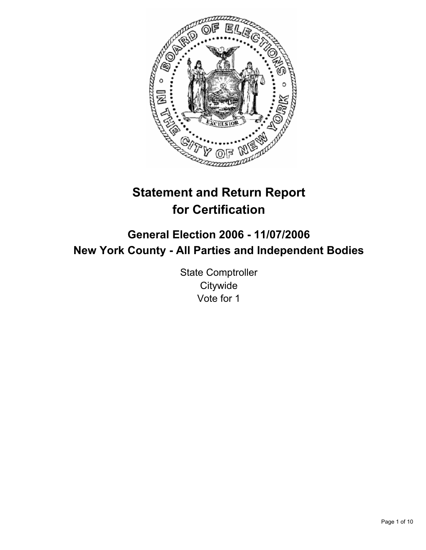

# **Statement and Return Report for Certification**

# **General Election 2006 - 11/07/2006 New York County - All Parties and Independent Bodies**

State Comptroller **Citywide** Vote for 1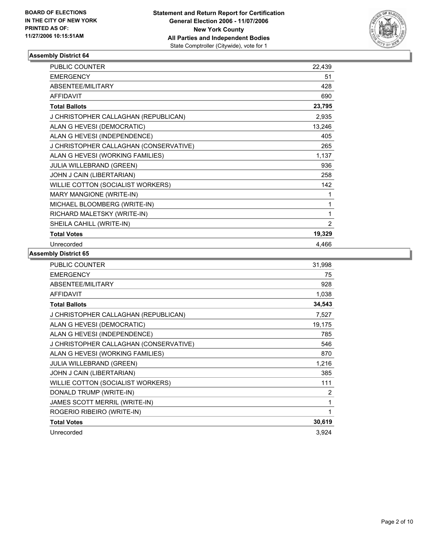

| <b>PUBLIC COUNTER</b>                  | 22,439         |
|----------------------------------------|----------------|
| <b>EMERGENCY</b>                       | 51             |
| ABSENTEE/MILITARY                      | 428            |
| <b>AFFIDAVIT</b>                       | 690            |
| <b>Total Ballots</b>                   | 23,795         |
| J CHRISTOPHER CALLAGHAN (REPUBLICAN)   | 2,935          |
| ALAN G HEVESI (DEMOCRATIC)             | 13,246         |
| ALAN G HEVESI (INDEPENDENCE)           | 405            |
| J CHRISTOPHER CALLAGHAN (CONSERVATIVE) | 265            |
| ALAN G HEVESI (WORKING FAMILIES)       | 1,137          |
| JULIA WILLEBRAND (GREEN)               | 936            |
| JOHN J CAIN (LIBERTARIAN)              | 258            |
| WILLIE COTTON (SOCIALIST WORKERS)      | 142            |
| MARY MANGIONE (WRITE-IN)               |                |
| MICHAEL BLOOMBERG (WRITE-IN)           | 1              |
| RICHARD MALETSKY (WRITE-IN)            | 1              |
| SHEILA CAHILL (WRITE-IN)               | $\overline{2}$ |
| <b>Total Votes</b>                     | 19,329         |
| Unrecorded                             | 4.466          |

| <b>PUBLIC COUNTER</b>                  | 31,998 |
|----------------------------------------|--------|
| <b>EMERGENCY</b>                       | 75     |
| ABSENTEE/MILITARY                      | 928    |
| <b>AFFIDAVIT</b>                       | 1,038  |
| <b>Total Ballots</b>                   | 34,543 |
| J CHRISTOPHER CALLAGHAN (REPUBLICAN)   | 7,527  |
| ALAN G HEVESI (DEMOCRATIC)             | 19,175 |
| ALAN G HEVESI (INDEPENDENCE)           | 785    |
| J CHRISTOPHER CALLAGHAN (CONSERVATIVE) | 546    |
| ALAN G HEVESI (WORKING FAMILIES)       | 870    |
| <b>JULIA WILLEBRAND (GREEN)</b>        | 1,216  |
| JOHN J CAIN (LIBERTARIAN)              | 385    |
| WILLIE COTTON (SOCIALIST WORKERS)      | 111    |
| DONALD TRUMP (WRITE-IN)                | 2      |
| JAMES SCOTT MERRIL (WRITE-IN)          | 1      |
| ROGERIO RIBEIRO (WRITE-IN)             |        |
| <b>Total Votes</b>                     | 30,619 |
| Unrecorded                             | 3,924  |
|                                        |        |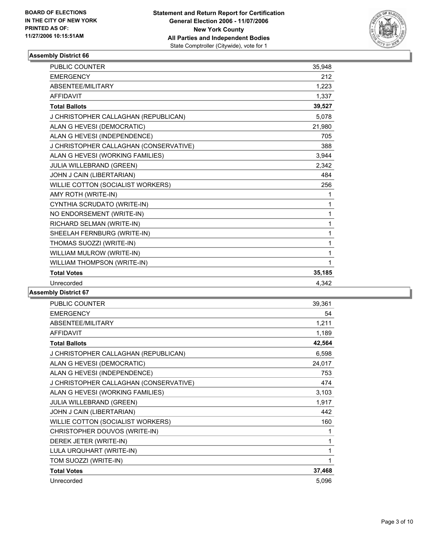

| PUBLIC COUNTER                         | 35,948 |
|----------------------------------------|--------|
| <b>EMERGENCY</b>                       | 212    |
| ABSENTEE/MILITARY                      | 1,223  |
| <b>AFFIDAVIT</b>                       | 1,337  |
| <b>Total Ballots</b>                   | 39,527 |
| J CHRISTOPHER CALLAGHAN (REPUBLICAN)   | 5,078  |
| ALAN G HEVESI (DEMOCRATIC)             | 21,980 |
| ALAN G HEVESI (INDEPENDENCE)           | 705    |
| J CHRISTOPHER CALLAGHAN (CONSERVATIVE) | 388    |
| ALAN G HEVESI (WORKING FAMILIES)       | 3,944  |
| JULIA WILLEBRAND (GREEN)               | 2,342  |
| JOHN J CAIN (LIBERTARIAN)              | 484    |
| WILLIE COTTON (SOCIALIST WORKERS)      | 256    |
| AMY ROTH (WRITE-IN)                    | 1      |
| CYNTHIA SCRUDATO (WRITE-IN)            | 1      |
| NO ENDORSEMENT (WRITE-IN)              |        |
| RICHARD SELMAN (WRITE-IN)              | 1      |
| SHEELAH FERNBURG (WRITE-IN)            | 1      |
| THOMAS SUOZZI (WRITE-IN)               | 1      |
| WILLIAM MULROW (WRITE-IN)              | 1      |
| WILLIAM THOMPSON (WRITE-IN)            |        |
| <b>Total Votes</b>                     | 35,185 |
| Unrecorded                             | 4.342  |

| <b>PUBLIC COUNTER</b>                  | 39,361 |
|----------------------------------------|--------|
| <b>EMERGENCY</b>                       | 54     |
| ABSENTEE/MILITARY                      | 1,211  |
| <b>AFFIDAVIT</b>                       | 1,189  |
| <b>Total Ballots</b>                   | 42,564 |
| J CHRISTOPHER CALLAGHAN (REPUBLICAN)   | 6,598  |
| ALAN G HEVESI (DEMOCRATIC)             | 24,017 |
| ALAN G HEVESI (INDEPENDENCE)           | 753    |
| J CHRISTOPHER CALLAGHAN (CONSERVATIVE) | 474    |
| ALAN G HEVESI (WORKING FAMILIES)       | 3,103  |
| JULIA WILLEBRAND (GREEN)               | 1,917  |
| JOHN J CAIN (LIBERTARIAN)              | 442    |
| WILLIE COTTON (SOCIALIST WORKERS)      | 160    |
| CHRISTOPHER DOUVOS (WRITE-IN)          | 1      |
| DEREK JETER (WRITE-IN)                 | 1      |
| LULA URQUHART (WRITE-IN)               | 1      |
| TOM SUOZZI (WRITE-IN)                  |        |
| <b>Total Votes</b>                     | 37,468 |
| Unrecorded                             | 5,096  |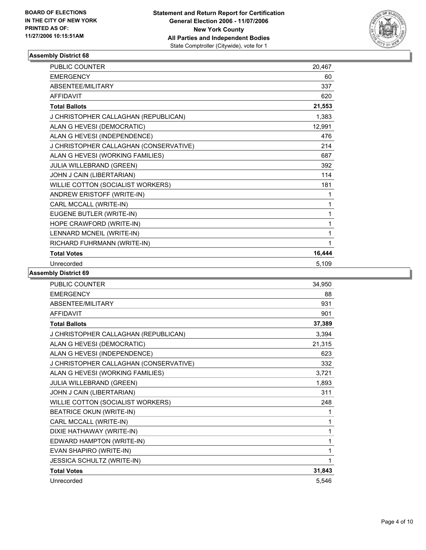

| <b>PUBLIC COUNTER</b>                  | 20,467 |  |
|----------------------------------------|--------|--|
| <b>EMERGENCY</b>                       | 60     |  |
| <b>ABSENTEE/MILITARY</b>               | 337    |  |
| <b>AFFIDAVIT</b>                       | 620    |  |
| <b>Total Ballots</b>                   | 21,553 |  |
| J CHRISTOPHER CALLAGHAN (REPUBLICAN)   | 1,383  |  |
| ALAN G HEVESI (DEMOCRATIC)             | 12,991 |  |
| ALAN G HEVESI (INDEPENDENCE)           | 476    |  |
| J CHRISTOPHER CALLAGHAN (CONSERVATIVE) | 214    |  |
| ALAN G HEVESI (WORKING FAMILIES)       | 687    |  |
| JULIA WILLEBRAND (GREEN)               | 392    |  |
| JOHN J CAIN (LIBERTARIAN)              | 114    |  |
| WILLIE COTTON (SOCIALIST WORKERS)      | 181    |  |
| ANDREW ERISTOFF (WRITE-IN)             | 1      |  |
| CARL MCCALL (WRITE-IN)                 | 1      |  |
| EUGENE BUTLER (WRITE-IN)               | 1      |  |
| HOPE CRAWFORD (WRITE-IN)               |        |  |
| LENNARD MCNEIL (WRITE-IN)              | 1      |  |
| RICHARD FUHRMANN (WRITE-IN)            | 1      |  |
| <b>Total Votes</b>                     | 16,444 |  |
| Unrecorded                             | 5,109  |  |

| <b>PUBLIC COUNTER</b>                  | 34,950 |
|----------------------------------------|--------|
| <b>EMERGENCY</b>                       | 88     |
| ABSENTEE/MILITARY                      | 931    |
| <b>AFFIDAVIT</b>                       | 901    |
| <b>Total Ballots</b>                   | 37,389 |
| J CHRISTOPHER CALLAGHAN (REPUBLICAN)   | 3,394  |
| ALAN G HEVESI (DEMOCRATIC)             | 21,315 |
| ALAN G HEVESI (INDEPENDENCE)           | 623    |
| J CHRISTOPHER CALLAGHAN (CONSERVATIVE) | 332    |
| ALAN G HEVESI (WORKING FAMILIES)       | 3,721  |
| JULIA WILLEBRAND (GREEN)               | 1,893  |
| JOHN J CAIN (LIBERTARIAN)              | 311    |
| WILLIE COTTON (SOCIALIST WORKERS)      | 248    |
| <b>BEATRICE OKUN (WRITE-IN)</b>        | 1      |
| CARL MCCALL (WRITE-IN)                 | 1      |
| DIXIE HATHAWAY (WRITE-IN)              | 1      |
| EDWARD HAMPTON (WRITE-IN)              | 1      |
| EVAN SHAPIRO (WRITE-IN)                |        |
| JESSICA SCHULTZ (WRITE-IN)             |        |
| <b>Total Votes</b>                     | 31,843 |
| Unrecorded                             | 5.546  |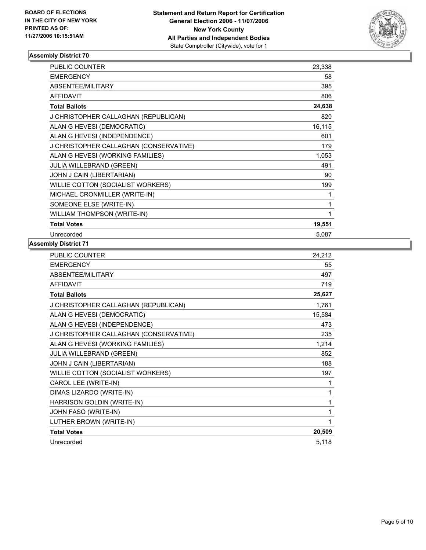

| <b>PUBLIC COUNTER</b>                  | 23,338 |
|----------------------------------------|--------|
| <b>EMERGENCY</b>                       | 58     |
| ABSENTEE/MILITARY                      | 395    |
| <b>AFFIDAVIT</b>                       | 806    |
| <b>Total Ballots</b>                   | 24,638 |
| J CHRISTOPHER CALLAGHAN (REPUBLICAN)   | 820    |
| ALAN G HEVESI (DEMOCRATIC)             | 16,115 |
| ALAN G HEVESI (INDEPENDENCE)           | 601    |
| J CHRISTOPHER CALLAGHAN (CONSERVATIVE) | 179    |
| ALAN G HEVESI (WORKING FAMILIES)       | 1,053  |
| <b>JULIA WILLEBRAND (GREEN)</b>        | 491    |
| JOHN J CAIN (LIBERTARIAN)              | 90     |
| WILLIE COTTON (SOCIALIST WORKERS)      | 199    |
| MICHAEL CRONMILLER (WRITE-IN)          |        |
| SOMEONE ELSE (WRITE-IN)                |        |
| WILLIAM THOMPSON (WRITE-IN)            |        |
| <b>Total Votes</b>                     | 19,551 |
| Unrecorded                             | 5,087  |

| PUBLIC COUNTER                         | 24,212 |
|----------------------------------------|--------|
| <b>EMERGENCY</b>                       | 55     |
| ABSENTEE/MILITARY                      | 497    |
| <b>AFFIDAVIT</b>                       | 719    |
| <b>Total Ballots</b>                   | 25,627 |
| J CHRISTOPHER CALLAGHAN (REPUBLICAN)   | 1,761  |
| ALAN G HEVESI (DEMOCRATIC)             | 15,584 |
| ALAN G HEVESI (INDEPENDENCE)           | 473    |
| J CHRISTOPHER CALLAGHAN (CONSERVATIVE) | 235    |
| ALAN G HEVESI (WORKING FAMILIES)       | 1,214  |
| JULIA WILLEBRAND (GREEN)               | 852    |
| JOHN J CAIN (LIBERTARIAN)              | 188    |
| WILLIE COTTON (SOCIALIST WORKERS)      | 197    |
| CAROL LEE (WRITE-IN)                   |        |
| DIMAS LIZARDO (WRITE-IN)               | 1      |
| HARRISON GOLDIN (WRITE-IN)             |        |
| JOHN FASO (WRITE-IN)                   |        |
| LUTHER BROWN (WRITE-IN)                |        |
| <b>Total Votes</b>                     | 20,509 |
| Unrecorded                             | 5,118  |
|                                        |        |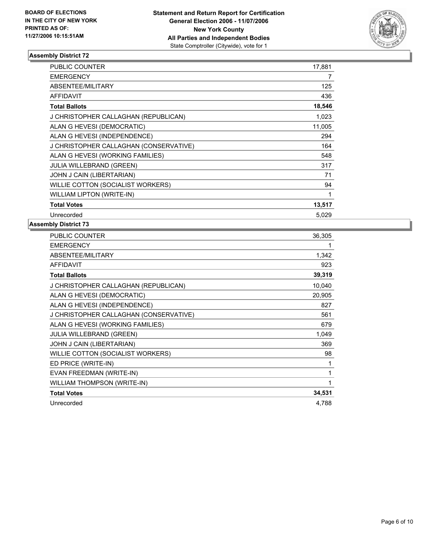

| PUBLIC COUNTER                         | 17,881 |
|----------------------------------------|--------|
| <b>EMERGENCY</b>                       | 7      |
| ABSENTEE/MILITARY                      | 125    |
| <b>AFFIDAVIT</b>                       | 436    |
| <b>Total Ballots</b>                   | 18,546 |
| J CHRISTOPHER CALLAGHAN (REPUBLICAN)   | 1,023  |
| ALAN G HEVESI (DEMOCRATIC)             | 11,005 |
| ALAN G HEVESI (INDEPENDENCE)           | 294    |
| J CHRISTOPHER CALLAGHAN (CONSERVATIVE) | 164    |
| ALAN G HEVESI (WORKING FAMILIES)       | 548    |
| <b>JULIA WILLEBRAND (GREEN)</b>        | 317    |
| JOHN J CAIN (LIBERTARIAN)              | 71     |
| WILLIE COTTON (SOCIALIST WORKERS)      | 94     |
| <b>WILLIAM LIPTON (WRITE-IN)</b>       | 1      |
| <b>Total Votes</b>                     | 13,517 |
| Unrecorded                             | 5,029  |

| PUBLIC COUNTER                         | 36,305 |
|----------------------------------------|--------|
| <b>EMERGENCY</b>                       |        |
| ABSENTEE/MILITARY                      | 1,342  |
| <b>AFFIDAVIT</b>                       | 923    |
| <b>Total Ballots</b>                   | 39,319 |
| J CHRISTOPHER CALLAGHAN (REPUBLICAN)   | 10,040 |
| ALAN G HEVESI (DEMOCRATIC)             | 20,905 |
| ALAN G HEVESI (INDEPENDENCE)           | 827    |
| J CHRISTOPHER CALLAGHAN (CONSERVATIVE) | 561    |
| ALAN G HEVESI (WORKING FAMILIES)       | 679    |
| <b>JULIA WILLEBRAND (GREEN)</b>        | 1,049  |
| JOHN J CAIN (LIBERTARIAN)              | 369    |
| WILLIE COTTON (SOCIALIST WORKERS)      | 98     |
| ED PRICE (WRITE-IN)                    |        |
| EVAN FREEDMAN (WRITE-IN)               |        |
| WILLIAM THOMPSON (WRITE-IN)            |        |
| <b>Total Votes</b>                     | 34,531 |
| Unrecorded                             | 4.788  |
|                                        |        |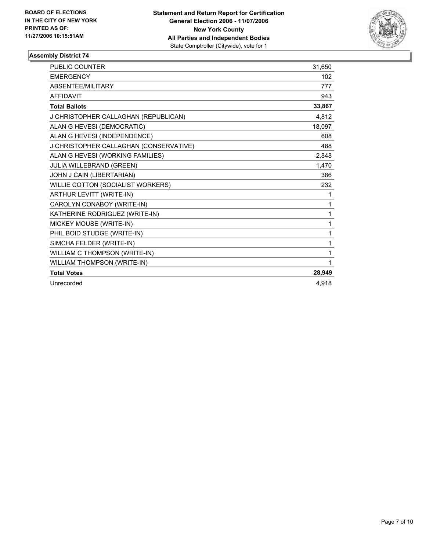

| <b>PUBLIC COUNTER</b>                  | 31,650 |
|----------------------------------------|--------|
| <b>EMERGENCY</b>                       | 102    |
| <b>ABSENTEE/MILITARY</b>               | 777    |
| <b>AFFIDAVIT</b>                       | 943    |
| <b>Total Ballots</b>                   | 33,867 |
| J CHRISTOPHER CALLAGHAN (REPUBLICAN)   | 4,812  |
| ALAN G HEVESI (DEMOCRATIC)             | 18,097 |
| ALAN G HEVESI (INDEPENDENCE)           | 608    |
| J CHRISTOPHER CALLAGHAN (CONSERVATIVE) | 488    |
| ALAN G HEVESI (WORKING FAMILIES)       | 2,848  |
| JULIA WILLEBRAND (GREEN)               | 1,470  |
| JOHN J CAIN (LIBERTARIAN)              | 386    |
| WILLIE COTTON (SOCIALIST WORKERS)      | 232    |
| ARTHUR LEVITT (WRITE-IN)               |        |
| CAROLYN CONABOY (WRITE-IN)             | 1      |
| KATHERINE RODRIGUEZ (WRITE-IN)         | 1      |
| MICKEY MOUSE (WRITE-IN)                | 1      |
| PHIL BOID STUDGE (WRITE-IN)            | 1      |
| SIMCHA FELDER (WRITE-IN)               | 1      |
| WILLIAM C THOMPSON (WRITE-IN)          | 1      |
| WILLIAM THOMPSON (WRITE-IN)            |        |
| <b>Total Votes</b>                     | 28,949 |
| Unrecorded                             | 4,918  |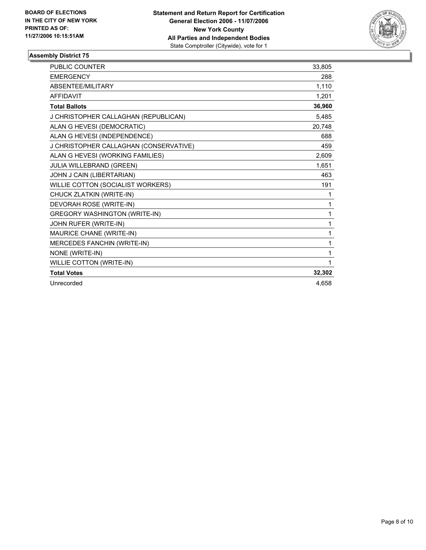

| <b>PUBLIC COUNTER</b>                  | 33,805 |
|----------------------------------------|--------|
| <b>EMERGENCY</b>                       | 288    |
| ABSENTEE/MILITARY                      | 1,110  |
| <b>AFFIDAVIT</b>                       | 1.201  |
| <b>Total Ballots</b>                   | 36,960 |
| J CHRISTOPHER CALLAGHAN (REPUBLICAN)   | 5,485  |
| ALAN G HEVESI (DEMOCRATIC)             | 20,748 |
| ALAN G HEVESI (INDEPENDENCE)           | 688    |
| J CHRISTOPHER CALLAGHAN (CONSERVATIVE) | 459    |
| ALAN G HEVESI (WORKING FAMILIES)       | 2,609  |
| JULIA WILLEBRAND (GREEN)               | 1,651  |
| JOHN J CAIN (LIBERTARIAN)              | 463    |
| WILLIE COTTON (SOCIALIST WORKERS)      | 191    |
| CHUCK ZLATKIN (WRITE-IN)               | 1      |
| DEVORAH ROSE (WRITE-IN)                | 1      |
| <b>GREGORY WASHINGTON (WRITE-IN)</b>   | 1      |
| JOHN RUFER (WRITE-IN)                  | 1      |
| MAURICE CHANE (WRITE-IN)               | 1      |
| MERCEDES FANCHIN (WRITE-IN)            | 1      |
| NONE (WRITE-IN)                        | 1      |
| WILLIE COTTON (WRITE-IN)               |        |
| <b>Total Votes</b>                     | 32,302 |
| Unrecorded                             | 4.658  |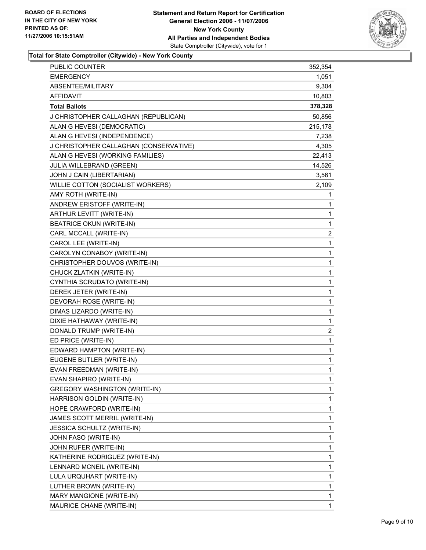

# **Total for State Comptroller (Citywide) - New York County**

| PUBLIC COUNTER                         | 352,354                 |
|----------------------------------------|-------------------------|
| <b>EMERGENCY</b>                       | 1,051                   |
| ABSENTEE/MILITARY                      | 9,304                   |
| <b>AFFIDAVIT</b>                       | 10,803                  |
| <b>Total Ballots</b>                   | 378,328                 |
| J CHRISTOPHER CALLAGHAN (REPUBLICAN)   | 50,856                  |
| ALAN G HEVESI (DEMOCRATIC)             | 215,178                 |
| ALAN G HEVESI (INDEPENDENCE)           | 7,238                   |
| J CHRISTOPHER CALLAGHAN (CONSERVATIVE) | 4,305                   |
| ALAN G HEVESI (WORKING FAMILIES)       | 22,413                  |
| JULIA WILLEBRAND (GREEN)               | 14,526                  |
| JOHN J CAIN (LIBERTARIAN)              | 3,561                   |
| WILLIE COTTON (SOCIALIST WORKERS)      | 2,109                   |
| AMY ROTH (WRITE-IN)                    | $\mathbf 1$             |
| ANDREW ERISTOFF (WRITE-IN)             | 1                       |
| ARTHUR LEVITT (WRITE-IN)               | 1                       |
| <b>BEATRICE OKUN (WRITE-IN)</b>        | $\mathbf 1$             |
| CARL MCCALL (WRITE-IN)                 | $\boldsymbol{2}$        |
| CAROL LEE (WRITE-IN)                   | 1                       |
| CAROLYN CONABOY (WRITE-IN)             | 1                       |
| CHRISTOPHER DOUVOS (WRITE-IN)          | 1                       |
| CHUCK ZLATKIN (WRITE-IN)               | 1                       |
| CYNTHIA SCRUDATO (WRITE-IN)            | 1                       |
| DEREK JETER (WRITE-IN)                 | 1                       |
| DEVORAH ROSE (WRITE-IN)                | 1                       |
| DIMAS LIZARDO (WRITE-IN)               | 1                       |
| DIXIE HATHAWAY (WRITE-IN)              | $\mathbf 1$             |
| DONALD TRUMP (WRITE-IN)                | $\overline{\mathbf{c}}$ |
| ED PRICE (WRITE-IN)                    | $\mathbf 1$             |
| EDWARD HAMPTON (WRITE-IN)              | 1                       |
| EUGENE BUTLER (WRITE-IN)               | 1                       |
| EVAN FREEDMAN (WRITE-IN)               | 1                       |
| EVAN SHAPIRO (WRITE-IN)                | 1                       |
| <b>GREGORY WASHINGTON (WRITE-IN)</b>   | 1                       |
| HARRISON GOLDIN (WRITE-IN)             | 1                       |
| HOPE CRAWFORD (WRITE-IN)               | 1                       |
| JAMES SCOTT MERRIL (WRITE-IN)          | 1                       |
| JESSICA SCHULTZ (WRITE-IN)             | 1                       |
| JOHN FASO (WRITE-IN)                   | 1                       |
| JOHN RUFER (WRITE-IN)                  | 1                       |
| KATHERINE RODRIGUEZ (WRITE-IN)         | 1                       |
| LENNARD MCNEIL (WRITE-IN)              | 1                       |
| LULA URQUHART (WRITE-IN)               | 1                       |
| LUTHER BROWN (WRITE-IN)                | 1                       |
| MARY MANGIONE (WRITE-IN)               | 1                       |
| MAURICE CHANE (WRITE-IN)               | 1                       |